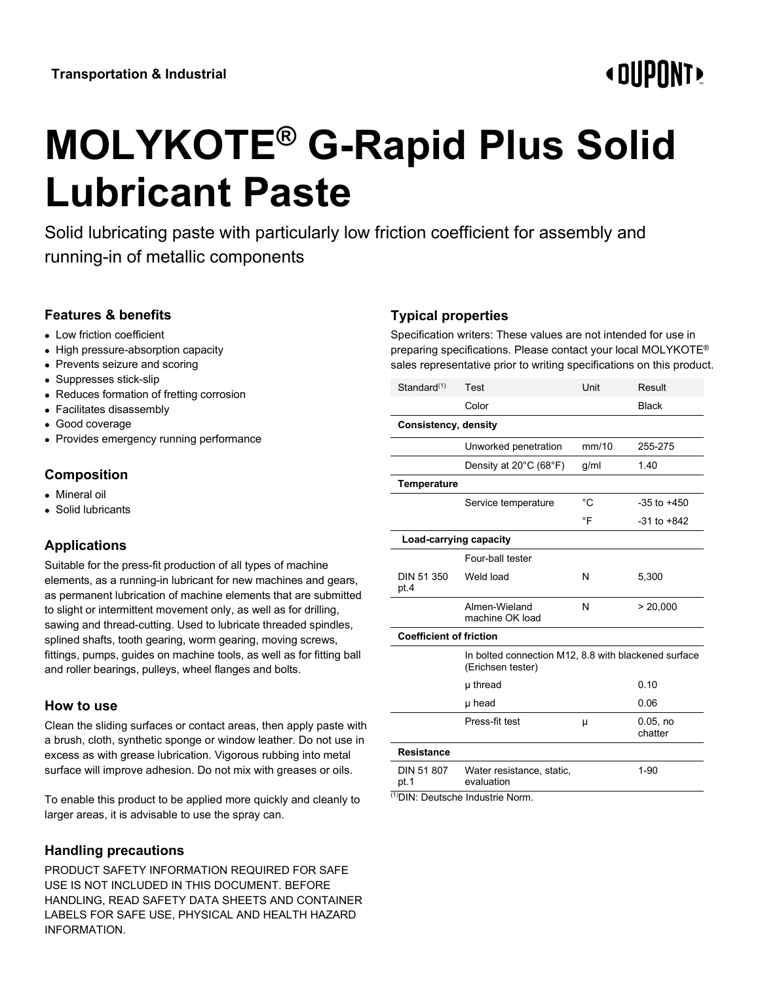# **«OUPONT»**

# **MOLYKOTE® G-Rapid Plus Solid Lubricant Paste**

Solid lubricating paste with particularly low friction coefficient for assembly and running-in of metallic components

## **Features & benefits**

- Low friction coefficient
- High pressure-absorption capacity
- Prevents seizure and scoring
- Suppresses stick-slip
- Reduces formation of fretting corrosion
- Facilitates disassembly
- Good coverage
- Provides emergency running performance

# **Composition**

- Mineral oil
- Solid lubricants

# **Applications**

Suitable for the press-fit production of all types of machine elements, as a running-in lubricant for new machines and gears, as permanent lubrication of machine elements that are submitted to slight or intermittent movement only, as well as for drilling, sawing and thread-cutting. Used to lubricate threaded spindles, splined shafts, tooth gearing, worm gearing, moving screws, fittings, pumps, guides on machine tools, as well as for fitting ball and roller bearings, pulleys, wheel flanges and bolts.

#### **How to use**

Clean the sliding surfaces or contact areas, then apply paste with a brush, cloth, synthetic sponge or window leather. Do not use in excess as with grease lubrication. Vigorous rubbing into metal surface will improve adhesion. Do not mix with greases or oils.

To enable this product to be applied more quickly and cleanly to larger areas, it is advisable to use the spray can.

## **Handling precautions**

PRODUCT SAFETY INFORMATION REQUIRED FOR SAFE USE IS NOT INCLUDED IN THIS DOCUMENT. BEFORE HANDLING, READ SAFETY DATA SHEETS AND CONTAINER LABELS FOR SAFE USE, PHYSICAL AND HEALTH HAZARD INFORMATION.

# **Typical properties**

Specification writers: These values are not intended for use in preparing specifications. Please contact your local MOLYKOTE® sales representative prior to writing specifications on this product.

| Standard <sup>(1)</sup>        | <b>Test</b>                                                               | Unit  | Result              |
|--------------------------------|---------------------------------------------------------------------------|-------|---------------------|
|                                | Color                                                                     |       | <b>Black</b>        |
| <b>Consistency, density</b>    |                                                                           |       |                     |
|                                | Unworked penetration                                                      | mm/10 | 255-275             |
|                                | Density at 20°C (68°F)                                                    | g/ml  | 1.40                |
| Temperature                    |                                                                           |       |                     |
|                                | Service temperature                                                       | °C    | $-35$ to $+450$     |
|                                |                                                                           | °F    | $-31$ to $+842$     |
| Load-carrying capacity         |                                                                           |       |                     |
|                                | Four-ball tester                                                          |       |                     |
| DIN 51 350<br>pt.4             | Weld load                                                                 | N     | 5,300               |
|                                | Almen-Wieland<br>machine OK load                                          | N     | > 20,000            |
| <b>Coefficient of friction</b> |                                                                           |       |                     |
|                                | In bolted connection M12, 8.8 with blackened surface<br>(Erichsen tester) |       |                     |
|                                | µ thread                                                                  |       | 0.10                |
|                                | µ head                                                                    |       | 0.06                |
|                                | Press-fit test                                                            | μ     | 0.05, no<br>chatter |
| <b>Resistance</b>              |                                                                           |       |                     |
| DIN 51 807<br>pt. 1            | Water resistance, static,<br>evaluation                                   |       | $1 - 90$            |

(1)DIN: Deutsche Industrie Norm.